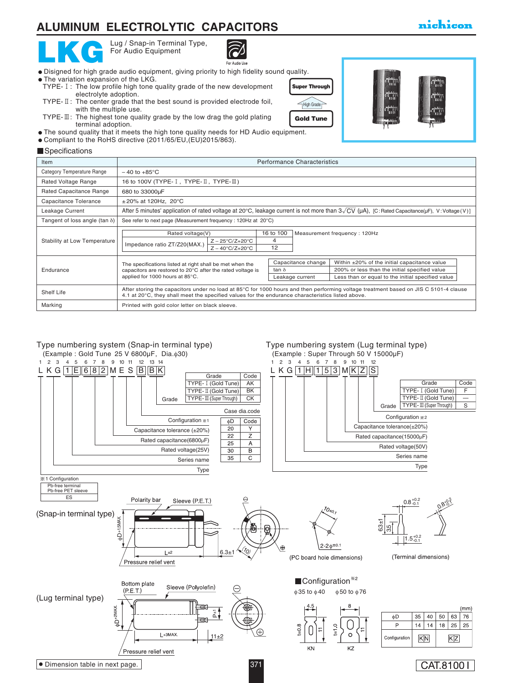## **ALUMINUM ELECTROLYTIC CAPACITORS**

Lug / Snap-in Terminal Type, For Audio Equipment



- Disigned for high grade audio equipment, giving priority to high fidelity sound quality.
- The variation expansion of the LKG. TYPE-1: The low profile high tone quality grade of the new development electrolyte adoption.
- TYPE- II: The center grade that the best sound is provided electrode foil, with the multiple use.
- TYPE- $\mathbb{I}$ : The highest tone quality grade by the low drag the gold plating terminal adoption.
- The sound quality that it meets the high tone quality needs for HD Audio equipment.
- Compliant to the RoHS directive (2011/65/EU,(EU)2015/863).

#### **Specifications**

| Item                                  | Performance Characteristics                                                                                                                                                                                                               |                                                               |                                       |                                                                                                                                                    |  |
|---------------------------------------|-------------------------------------------------------------------------------------------------------------------------------------------------------------------------------------------------------------------------------------------|---------------------------------------------------------------|---------------------------------------|----------------------------------------------------------------------------------------------------------------------------------------------------|--|
| Category Temperature Range            | $-40$ to $+85^{\circ}$ C                                                                                                                                                                                                                  |                                                               |                                       |                                                                                                                                                    |  |
| Rated Voltage Range                   | 16 to 100V (TYPE- $I$ , TYPE- $II$ , TYPE- $III$ )                                                                                                                                                                                        |                                                               |                                       |                                                                                                                                                    |  |
| Rated Capacitance Range               | 680 to 33000µF                                                                                                                                                                                                                            |                                                               |                                       |                                                                                                                                                    |  |
| Capacitance Tolerance                 | $\pm 20\%$ at 120Hz, 20°C                                                                                                                                                                                                                 |                                                               |                                       |                                                                                                                                                    |  |
| Leakage Current                       | After 5 minutes' application of rated voltage at 20°C, leakage current is not more than $3\sqrt{CV}$ ( $\mu$ A), [C: Rated Capacitance( $\mu$ F), V: Voltage (V)]                                                                         |                                                               |                                       |                                                                                                                                                    |  |
| Tangent of loss angle (tan $\delta$ ) |                                                                                                                                                                                                                                           | See refer to next page (Measurement frequency: 120Hz at 20°C) |                                       |                                                                                                                                                    |  |
| Stability at Low Temperature          | Rated voltage(V)<br>$Z - 25^{\circ}C/Z + 20^{\circ}C$<br>Impedance ratio ZT/Z20(MAX.)<br>$Z - 40^{\circ}C/Z + 20^{\circ}C$                                                                                                                | 16 to 100<br>4<br>12                                          |                                       | Measurement frequency: 120Hz                                                                                                                       |  |
| Endurance                             | The specifications listed at right shall be met when the<br>capacitors are restored to 20°C after the rated voltage is<br>applied for 1000 hours at 85°C.                                                                                 |                                                               | Capacitance change<br>Leakage current | Within ±20% of the initial capacitance value<br>200% or less than the initial specified value<br>Less than or equal to the initial specified value |  |
| Shelf Life                            | After storing the capacitors under no load at 85°C for 1000 hours and then performing voltage treatment based on JIS C 5101-4 clause<br>4.1 at 20°C, they shall meet the specified values for the endurance characteristics listed above. |                                                               |                                       |                                                                                                                                                    |  |
| Marking                               | Printed with gold color letter on black sleeve.                                                                                                                                                                                           |                                                               |                                       |                                                                                                                                                    |  |

High Grade

Super Through

Gold Tune



nichicon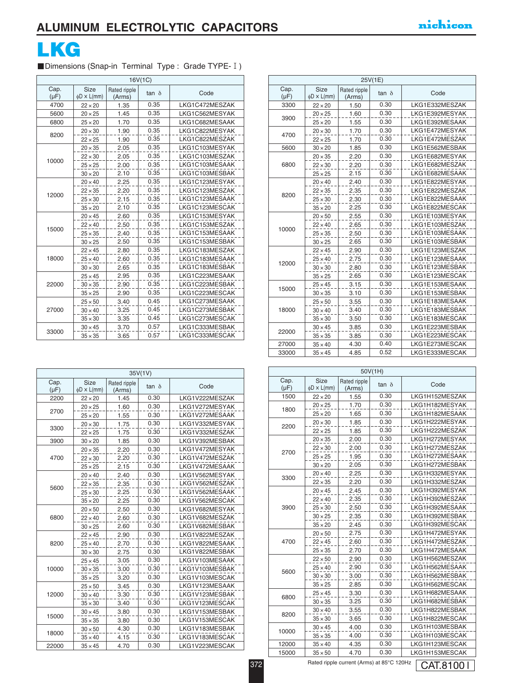

### Dimensions (Snap-in Terminal Type : Grade TYPE- I)

| 16V(1C)           |                          |                        |              |                |  |
|-------------------|--------------------------|------------------------|--------------|----------------|--|
| Cap.<br>$(\mu F)$ | Size<br>$\phi$ D × L(mm) | Rated ripple<br>(Arms) | $tan \delta$ | Code           |  |
| 4700              | $22 \times 20$           | 1.35                   | 0.35         | LKG1C472MESZAK |  |
| 5600              | $20 \times 25$           | 1.45                   | 0.35         | LKG1C562MESYAK |  |
| 6800              | $25 \times 20$           | 1.70                   | 0.35         | LKG1C682MESAAK |  |
| 8200              | $20 \times 30$           | 1.90                   | 0.35         | LKG1C822MESYAK |  |
|                   | $22 \times 25$           | 1.90                   | 0.35         | LKG1C822MESZAK |  |
|                   | $20 \times 35$           | 2.05                   | 0.35         | LKG1C103MESYAK |  |
| 10000             | $22 \times 30$           | 2.05                   | 0.35         | LKG1C103MESZAK |  |
|                   | $25 \times 25$           | 2.00                   | 0.35         | LKG1C103MESAAK |  |
|                   | $30 \times 20$           | 2.10                   | 0.35         | LKG1C103MESBAK |  |
|                   | $20 \times 40$           | 2.25                   | 0.35         | LKG1C123MESYAK |  |
| 12000             | $22 \times 35$           | 2.20                   | 0.35         | LKG1C123MESZAK |  |
|                   | $25 \times 30$           | 2.15                   | 0.35         | LKG1C123MESAAK |  |
|                   | $35 \times 20$           | 2.10                   | 0.35         | LKG1C123MESCAK |  |
|                   | $20 \times 45$           | 2.60                   | 0.35         | LKG1C153MESYAK |  |
| 15000             | $22 \times 40$           | 2.50                   | 0.35         | LKG1C153MESZAK |  |
|                   | $25 \times 35$           | 2.40                   | 0.35         | LKG1C153MESAAK |  |
|                   | $30 \times 25$           | 2.50                   | 0.35         | LKG1C153MESBAK |  |
|                   | $22 \times 45$           | 2.80                   | 0.35         | LKG1C183MESZAK |  |
| 18000             | $25 \times 40$           | 2.60                   | 0.35         | LKG1C183MESAAK |  |
|                   | $30 \times 30$           | 2.65                   | 0.35         | LKG1C183MESBAK |  |
|                   | $25 \times 45$           | 2.95                   | 0.35         | LKG1C223MESAAK |  |
| 22000             | $30 \times 35$           | 2.90                   | 0.35         | LKG1C223MESBAK |  |
|                   | $35 \times 25$           | 2.90                   | 0.35         | LKG1C223MESCAK |  |
|                   | $25 \times 50$           | 3.40                   | 0.45         | LKG1C273MESAAK |  |
| 27000             | $30 \times 40$           | 3.25                   | 0.45         | LKG1C273MESBAK |  |
|                   | $35 \times 30$           | 3.35                   | 0.45         | LKG1C273MESCAK |  |
|                   | $30 \times 45$           | 3.70                   | 0.57         | LKG1C333MESBAK |  |
| 33000             | $35 \times 35$           | 3.65                   | 0.57         | LKG1C333MESCAK |  |

| 35V(1V)                |                          |                        |              |                |  |
|------------------------|--------------------------|------------------------|--------------|----------------|--|
| Cap.<br>$(\mu F)$      | Size<br>$\phi$ D × L(mm) | Rated ripple<br>(Arms) | $tan \delta$ | Code           |  |
| 2200<br>$22 \times 20$ |                          | 1.45                   | 0.30         | LKG1V222MESZAK |  |
|                        | $20 \times 25$           | 1.60                   | 0.30         | LKG1V272MESYAK |  |
| 2700                   | $25 \times 20$           | 1.55                   | 0.30         | LKG1V272MESAAK |  |
|                        | $20 \times 30$           | 1.75                   | 0.30         | LKG1V332MESYAK |  |
| 3300                   | $22 \times 25$           | 1.75                   | 0.30         | LKG1V332MESZAK |  |
| 3900                   | $30 \times 20$           | 1.85                   | 0.30         | LKG1V392MESBAK |  |
|                        | $20 \times 35$           | 2.20                   | 0.30         | LKG1V472MESYAK |  |
| 4700                   | $22 \times 30$           | 2.20                   | 0.30         | LKG1V472MESZAK |  |
|                        | $25 \times 25$           | 2.15                   | 0.30         | LKG1V472MESAAK |  |
|                        | $20 \times 40$           | 2.40                   | 0.30         | LKG1V562MESYAK |  |
|                        | $22 \times 35$           | 2.35                   | 0.30         | LKG1V562MESZAK |  |
| 5600                   | $25 \times 30$           | 2.25                   | 0.30         | LKG1V562MESAAK |  |
|                        | $35 \times 20$           | 2.25                   | 0.30         | LKG1V562MESCAK |  |
|                        | $20 \times 50$           | 2.50                   | 0.30         | LKG1V682MESYAK |  |
| 6800                   | $22 \times 40$           | 2.60                   | 0.30         | LKG1V682MESZAK |  |
|                        | $30 \times 25$           | 2.60                   | 0.30         | LKG1V682MESBAK |  |
|                        | $22 \times 45$           | 2.90                   | 0.30         | LKG1V822MESZAK |  |
| 8200                   | $25 \times 40$           | 2.70                   | 0.30         | LKG1V822MESAAK |  |
|                        | $30 \times 30$           | 2.75                   | 0.30         | LKG1V822MESBAK |  |
|                        | $25 \times 45$           | 3.05                   | 0.30         | LKG1V103MESAAK |  |
| 10000                  | $30 \times 35$           | 3.00                   | 0.30         | LKG1V103MESBAK |  |
|                        | $35 \times 25$           | 3.20                   | 0.30         | LKG1V103MESCAK |  |
|                        | $25 \times 50$           | 3.45                   | 0.30         | LKG1V123MESAAK |  |
| 12000                  | $30 \times 40$           | 3.30                   | 0.30         | LKG1V123MESBAK |  |
|                        | $35 \times 30$           | 3.40                   | 0.30         | LKG1V123MESCAK |  |
|                        | $30 \times 45$           | 3.80                   | 0.30         | LKG1V153MESBAK |  |
| 15000                  | $35 \times 35$           | 3.80                   | 0.30         | LKG1V153MESCAK |  |
|                        | $30 \times 50$           | 4.30                   | 0.30         | LKG1V183MESBAK |  |
| 18000                  | $35 \times 40$           | 4.15                   | 0.30         | LKG1V183MESCAK |  |
| 22000                  | $35 \times 45$           | 4.70                   | 0.30         | LKG1V223MESCAK |  |

|                   | 25V(1E)                         |                        |       |                |  |  |
|-------------------|---------------------------------|------------------------|-------|----------------|--|--|
| Cap.<br>$(\mu F)$ | <b>Size</b><br>$\phi$ D × L(mm) | Rated ripple<br>(Arms) | tan δ | Code           |  |  |
| 3300              | $22 \times 20$                  | 1.50                   | 0.30  | LKG1E332MESZAK |  |  |
|                   | $20 \times 25$                  | 1.60                   | 0.30  | LKG1E392MESYAK |  |  |
| 3900              | $25 \times 20$                  | 1.55                   | 0.30  | LKG1E392MESAAK |  |  |
| 4700              | $20 \times 30$                  | 1.70                   | 0.30  | LKG1E472MESYAK |  |  |
|                   | $22 \times 25$                  | 1.70                   | 0.30  | LKG1E472MESZAK |  |  |
| 5600              | $30 \times 20$                  | 1.85                   | 0.30  | LKG1E562MESBAK |  |  |
|                   | $20 \times 35$                  | 2.20                   | 0.30  | LKG1E682MESYAK |  |  |
| 6800              | $22 \times 30$                  | 2.20                   | 0.30  | LKG1E682MESZAK |  |  |
|                   | $25 \times 25$                  | 2.15                   | 0.30  | LKG1E682MESAAK |  |  |
|                   | $20 \times 40$                  | 2.40                   | 0.30  | LKG1E822MESYAK |  |  |
| 8200              | $22 \times 35$                  | 2.35                   | 0.30  | LKG1E822MESZAK |  |  |
|                   | $25 \times 30$                  | 2.30                   | 0.30  | LKG1E822MESAAK |  |  |
|                   | $35 \times 20$                  | 2.25                   | 0.30  | LKG1E822MESCAK |  |  |
|                   | $20 \times 50$                  | 2.55                   | 0.30  | LKG1E103MESYAK |  |  |
| 10000             | $22 \times 40$                  | 2.65                   | 0.30  | LKG1E103MESZAK |  |  |
|                   | $25 \times 35$                  | 2.50                   | 0.30  | LKG1E103MESAAK |  |  |
|                   | $30 \times 25$                  | 2.65                   | 0.30  | LKG1E103MESBAK |  |  |
|                   | $22 \times 45$                  | 2.90                   | 0.30  | LKG1E123MESZAK |  |  |
| 12000             | $25 \times 40$                  | 2.75                   | 0.30  | LKG1E123MESAAK |  |  |
|                   | $30 \times 30$                  | 2.80                   | 0.30  | LKG1E123MESBAK |  |  |
|                   | $35 \times 25$                  | 2.65                   | 0.30  | LKG1E123MESCAK |  |  |
| 15000             | $25 \times 45$                  | 3.15                   | 0.30  | LKG1E153MESAAK |  |  |
|                   | $30 \times 35$                  | 3.10                   | 0.30  | LKG1E153MESBAK |  |  |
|                   | $25 \times 50$                  | 3.55                   | 0.30  | LKG1E183MESAAK |  |  |
| 18000             | $30 \times 40$                  | 3.40                   | 0.30  | LKG1E183MESBAK |  |  |
|                   | $35 \times 30$                  | 3.50                   | 0.30  | LKG1E183MESCAK |  |  |
| 22000             | $30 \times 45$                  | 3.85                   | 0.30  | LKG1E223MESBAK |  |  |
|                   | $35 \times 35$                  | 3.85                   | 0.30  | LKG1E223MESCAK |  |  |
| 27000             | $35 \times 40$                  | 4.30                   | 0.40  | LKG1E273MESCAK |  |  |
| 33000             | $35 \times 45$                  | 4.85                   | 0.52  | LKG1E333MESCAK |  |  |

| 50V(1H)           |                                 |                        |       |                |  |
|-------------------|---------------------------------|------------------------|-------|----------------|--|
| Cap.<br>$(\mu F)$ | <b>Size</b><br>$\phi$ D × L(mm) | Rated ripple<br>(Arms) | tan δ | Code           |  |
| 1500              | $22 \times 20$                  | 1.55                   | 0.30  | LKG1H152MESZAK |  |
| 1800              | $20 \times 25$                  | 1.70                   | 0.30  | LKG1H182MESYAK |  |
|                   | $25 \times 20$                  | 1.65                   | 0.30  | LKG1H182MESAAK |  |
|                   | $20 \times 30$                  | 1.85                   | 0.30  | LKG1H222MESYAK |  |
| 2200              | $22 \times 25$                  | 1.85                   | 0.30  | LKG1H222MESZAK |  |
|                   | $20 \times 35$                  | 2.00                   | 0.30  | LKG1H272MESYAK |  |
| 2700              | $22 \times 30$                  | 2.00                   | 0.30  | LKG1H272MESZAK |  |
|                   | $25 \times 25$                  | 1.95                   | 0.30  | LKG1H272MESAAK |  |
|                   | $30 \times 20$                  | 2.05                   | 0.30  | LKG1H272MESBAK |  |
| 3300              | $20 \times 40$                  | 2.25                   | 0.30  | LKG1H332MESYAK |  |
|                   | $22 \times 35$                  | 2.20                   | 0.30  | LKG1H332MESZAK |  |
|                   | $20 \times 45$                  | 2.45                   | 0.30  | LKG1H392MESYAK |  |
|                   | $22 \times 40$                  | 2.35                   | 0.30  | LKG1H392MESZAK |  |
| 3900              | $25 \times 30$                  | 2.50                   | 0.30  | LKG1H392MESAAK |  |
|                   | $30 \times 25$                  | 2.35                   | 0.30  | LKG1H392MESBAK |  |
|                   | $35 \times 20$                  | 2.45                   | 0.30  | LKG1H392MESCAK |  |
|                   | $20 \times 50$                  | 2.75                   | 0.30  | LKG1H472MESYAK |  |
| 4700              | $22 \times 45$                  | 2.60                   | 0.30  | LKG1H472MESZAK |  |
|                   | $25 \times 35$                  | 2.70                   | 0.30  | LKG1H472MESAAK |  |
|                   | $22 \times 50$                  | 2.90                   | 0.30  | LKG1H562MESZAK |  |
| 5600              | $25 \times 40$                  | 2.90                   | 0.30  | LKG1H562MESAAK |  |
|                   | $30 \times 30$                  | 3.00                   | 0.30  | LKG1H562MESBAK |  |
|                   | $35 \times 25$                  | 2.85                   | 0.30  | LKG1H562MESCAK |  |
| 6800              | $25 \times 45$                  | 3.30                   | 0.30  | LKG1H682MESAAK |  |
|                   | $30 \times 35$                  | 3.25                   | 0.30  | LKG1H682MESBAK |  |
| 8200              | $30 \times 40$                  | 3.55                   | 0.30  | LKG1H822MESBAK |  |
|                   | $35 \times 30$                  | 3.65                   | 0.30  | LKG1H822MESCAK |  |
| 10000             | $30 \times 45$                  | 4.00                   | 0.30  | LKG1H103MESBAK |  |
|                   | $35 \times 35$                  | 4.00                   | 0.30  | LKG1H103MESCAK |  |
| 12000             | $35 \times 40$                  | 4.35                   | 0.30  | LKG1H123MESCAK |  |
| 15000             | $35 \times 50$                  | 4.70                   | 0.30  | LKG1H153MESCAK |  |

Rated ripple current (Arms) at 85°C 120Hz

372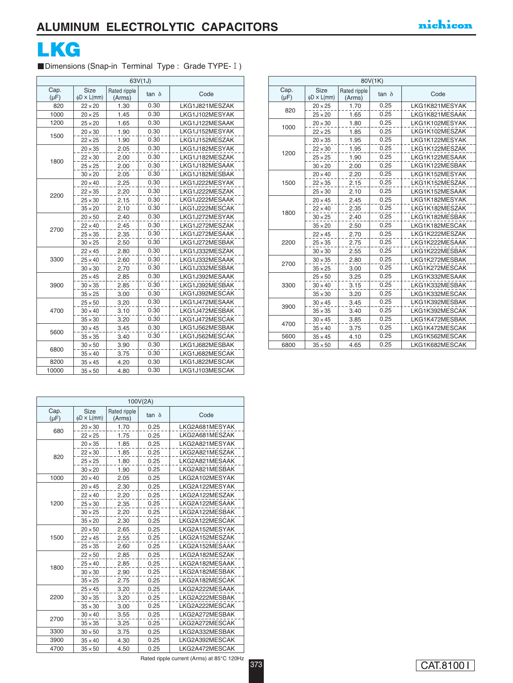

Dimensions (Snap-in Terminal Type : Grade TYPE- I)

| 63V(1J)           |                          |                        |              |                |  |
|-------------------|--------------------------|------------------------|--------------|----------------|--|
| Cap.<br>$(\mu F)$ | Size<br>$\phi$ D × L(mm) | Rated ripple<br>(Arms) | tan $\delta$ | Code           |  |
| 820               | $22 \times 20$           | 1.30                   | 0.30         | LKG1J821MESZAK |  |
| 1000              | $20 \times 25$           | 1.45                   | 0.30         | LKG1J102MESYAK |  |
| 1200              | $25 \times 20$           | 1.65                   | 0.30         | LKG1J122MESAAK |  |
|                   | $20 \times 30$           | 1.90                   | 0.30         | LKG1J152MESYAK |  |
| 1500              | $22 \times 25$           | 1.90                   | 0.30         | LKG1J152MESZAK |  |
|                   | $20 \times 35$           | 2.05                   | 0.30         | LKG1J182MESYAK |  |
|                   | $22 \times 30$           | 2.00                   | 0.30         | LKG1J182MESZAK |  |
| 1800              | $25 \times 25$           | 2.00                   | 0.30         | LKG1J182MESAAK |  |
|                   | $30 \times 20$           | 2.05                   | 0.30         | LKG1J182MESBAK |  |
|                   | $20 \times 40$           | 2.25                   | 0.30         | LKG1J222MESYAK |  |
|                   | $22 \times 35$           | 2.20                   | 0.30         | LKG1J222MESZAK |  |
| 2200              | $25 \times 30$           | 2.15                   | 0.30         | LKG1J222MESAAK |  |
|                   | $35 \times 20$           | 2.10                   | 0.30         | LKG1J222MESCAK |  |
|                   | $20 \times 50$           | 2.40                   | 0.30         | LKG1J272MESYAK |  |
|                   | $22 \times 40$           | 2.45                   | 0.30         | LKG1J272MESZAK |  |
| 2700              | $25 \times 35$           | 2.35                   | 0.30         | LKG1J272MESAAK |  |
|                   | $30 \times 25$           | 2.50                   | 0.30         | LKG1J272MESBAK |  |
|                   | $22 \times 45$           | 2.80                   | 0.30         | LKG1J332MESZAK |  |
| 3300              | $25 \times 40$           | 2.60                   | 0.30         | LKG1J332MESAAK |  |
|                   | $30 \times 30$           | 2.70                   | 0.30         | LKG1J332MESBAK |  |
|                   | $25 \times 45$           | 2.85                   | 0.30         | LKG1J392MESAAK |  |
| 3900              | $30 \times 35$           | 2.85                   | 0.30         | LKG1J392MESBAK |  |
|                   | $35 \times 25$           | 3.00                   | 0.30         | LKG1J392MESCAK |  |
|                   | $25 \times 50$           | 3.20                   | 0.30         | LKG1J472MESAAK |  |
| 4700              | $30 \times 40$           | 3.10                   | 0.30         | LKG1J472MESBAK |  |
|                   | $35 \times 30$           | 3.20                   | 0.30         | LKG1J472MESCAK |  |
| 5600              | $30 \times 45$           | 3.45                   | 0.30         | LKG1J562MESBAK |  |
|                   | $35 \times 35$           | 3.40                   | 0.30         | LKG1J562MESCAK |  |
|                   | $30 \times 50$           | 3.90                   | 0.30         | LKG1J682MESBAK |  |
| 6800              | $35 \times 40$           | 3.75                   | 0.30         | LKG1J682MESCAK |  |
| 8200              | $35 \times 45$           | 4.20                   | 0.30         | LKG1J822MESCAK |  |
| 10000             | $35 \times 50$           | 4.80                   | 0.30         | LKG1J103MESCAK |  |

| 100V(2A)          |                          |                        |              |                |  |  |
|-------------------|--------------------------|------------------------|--------------|----------------|--|--|
| Cap.<br>$(\mu F)$ | Size<br>$\phi$ D × L(mm) | Rated ripple<br>(Arms) | $tan \delta$ | Code           |  |  |
| 680               | $20 \times 30$           | 1.70                   | 0.25         | LKG2A681MESYAK |  |  |
|                   | $22 \times 25$           | 1.75                   | 0.25         | LKG2A681MESZAK |  |  |
|                   | $20 \times 35$           | 1.85                   | 0.25         | LKG2A821MESYAK |  |  |
| 820               | $22 \times 30$           | 1.85                   | 0.25         | LKG2A821MESZAK |  |  |
|                   | $25 \times 25$           | 1.80                   | 0.25         | LKG2A821MESAAK |  |  |
|                   | $30 \times 20$           | 1.90                   | 0.25         | LKG2A821MESBAK |  |  |
| 1000              | $20 \times 40$           | 2.05                   | 0.25         | LKG2A102MESYAK |  |  |
|                   | $20 \times 45$           | 2.30                   | 0.25         | LKG2A122MESYAK |  |  |
|                   | $22 \times 40$           | 2.20                   | 0.25         | LKG2A122MESZAK |  |  |
| 1200              | $25 \times 30$           | 2.35                   | 0.25         | LKG2A122MESAAK |  |  |
|                   | $30 \times 25$           | 2.20                   | 0.25         | LKG2A122MESBAK |  |  |
|                   | $35 \times 20$           | 2.30                   | 0.25         | LKG2A122MESCAK |  |  |
|                   | $20 \times 50$           | 2.65                   | 0.25         | LKG2A152MESYAK |  |  |
| 1500              | $22 \times 45$           | 2.55                   | 0.25         | LKG2A152MESZAK |  |  |
|                   | $25 \times 35$           | 2.60                   | 0.25         | LKG2A152MESAAK |  |  |
|                   | $22 \times 50$           | 2.85                   | 0.25         | LKG2A182MESZAK |  |  |
|                   | $25 \times 40$           | 2.85                   | 0.25         | LKG2A182MESAAK |  |  |
| 1800              | $30 \times 30$           | 2.90                   | 0.25         | LKG2A182MESBAK |  |  |
|                   | $35 \times 25$           | 2.75                   | 0.25         | LKG2A182MESCAK |  |  |
|                   | $25 \times 45$           | 3.20                   | 0.25         | LKG2A222MESAAK |  |  |
| 2200              | $30 \times 35$           | 3.20                   | 0.25         | LKG2A222MESBAK |  |  |
|                   | $35 \times 30$           | 3.00                   | 0.25         | LKG2A222MESCAK |  |  |
| 2700              | $30 \times 40$           | 3.55                   | 0.25         | LKG2A272MESBAK |  |  |
|                   | $35 \times 35$           | 3.25                   | 0.25         | LKG2A272MESCAK |  |  |
| 3300              | $30 \times 50$           | 3.75                   | 0.25         | LKG2A332MESBAK |  |  |
| 3900              | $35 \times 40$           | 4.30                   | 0.25         | LKG2A392MESCAK |  |  |
| 4700              | $35 \times 50$           | 4.50                   | 0.25         | LKG2A472MESCAK |  |  |

| 80V(1K)           |                                 |                        |              |                |  |
|-------------------|---------------------------------|------------------------|--------------|----------------|--|
| Cap.<br>$(\mu F)$ | <b>Size</b><br>$\phi$ D × L(mm) | Rated ripple<br>(Arms) | $tan \delta$ | Code           |  |
|                   | $20 \times 25$                  | 1.70                   | 0.25         | LKG1K821MESYAK |  |
| 820               | $25 \times 20$                  | 1.65                   | 0.25         | LKG1K821MESAAK |  |
| 1000              | $20 \times 30$                  | 1.80                   | 0.25         | LKG1K102MESYAK |  |
|                   | $22 \times 25$                  | 1.85                   | 0.25         | LKG1K102MESZAK |  |
|                   | $20 \times 35$                  | 1.95                   | 0.25         | LKG1K122MESYAK |  |
|                   | $22 \times 30$                  | 1.95                   | 0.25         | LKG1K122MESZAK |  |
| 1200              | $25 \times 25$                  | 1.90                   | 0.25         | LKG1K122MESAAK |  |
|                   | $30 \times 20$                  | 2.00                   | 0.25         | LKG1K122MESBAK |  |
|                   | $20 \times 40$                  | 2.20                   | 0.25         | LKG1K152MESYAK |  |
| 1500              | $22 \times 35$                  | 2.15                   | 0.25         | LKG1K152MESZAK |  |
|                   | $25 \times 30$                  | 2.10                   | 0.25         | LKG1K152MESAAK |  |
|                   | $20 \times 45$                  | 2.45                   | 0.25         | LKG1K182MESYAK |  |
| 1800              | $22 \times 40$                  | 2.35                   | 0.25         | LKG1K182MESZAK |  |
|                   | $30 \times 25$                  | 2.40                   | 0.25         | LKG1K182MESBAK |  |
|                   | $35 \times 20$                  | 2.50                   | 0.25         | LKG1K182MESCAK |  |
|                   | $22 \times 45$                  | 2.70                   | 0.25         | LKG1K222MESZAK |  |
| 2200              | $25 \times 35$                  | 2.75                   | 0.25         | LKG1K222MESAAK |  |
|                   | $30 \times 30$                  | 2.55                   | 0.25         | LKG1K222MESBAK |  |
|                   | $30 \times 35$                  | 2.80                   | 0.25         | LKG1K272MESBAK |  |
| 2700              | $35 \times 25$                  | 3.00                   | 0.25         | LKG1K272MESCAK |  |
|                   | $25 \times 50$                  | 3.25                   | 0.25         | LKG1K332MESAAK |  |
| 3300              | $30 \times 40$                  | 3.15                   | 0.25         | LKG1K332MESBAK |  |
|                   | $35 \times 30$                  | 3.20                   | 0.25         | LKG1K332MESCAK |  |
|                   | $30 \times 45$                  | 3.45                   | 0.25         | LKG1K392MESBAK |  |
| 3900              | $35 \times 35$                  | 3.40                   | 0.25         | LKG1K392MESCAK |  |
|                   | $30 \times 45$                  | 3.85                   | 0.25         | LKG1K472MESBAK |  |
| 4700              | $35 \times 40$                  | 3.75                   | 0.25         | LKG1K472MESCAK |  |
| 5600              | $35 \times 45$                  | 4.10                   | 0.25         | LKG1K562MESCAK |  |
| 6800              | $35 \times 50$                  | 4.65                   | 0.25         | LKG1K682MESCAK |  |

Rated ripple current (Arms) at 85°C 120Hz

373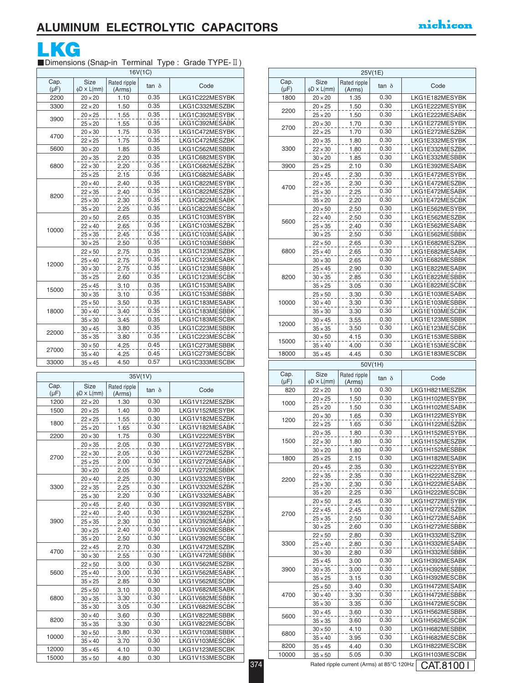### **ALUMINUM ELECTROLYTIC CAPACITORS**



Dimensions (Snap-in Terminal Type : Grade TYPE-II)

| 16V(1C)                |                                 |                                |              |                |  |  |
|------------------------|---------------------------------|--------------------------------|--------------|----------------|--|--|
| Cap.<br>$(\mu F)$      | <b>Size</b><br>$\phi$ D × L(mm) | Rated ripple<br>(Arms)         | $tan \delta$ | Code           |  |  |
| 2200                   | $20 \times 20$                  | 1.10                           | 0.35         | LKG1C222MESYBK |  |  |
| 3300<br>$22 \times 20$ |                                 | 1.50                           | 0.35         | LKG1C332MESZBK |  |  |
|                        | $20 \times 25$                  | 1.55                           | 0.35         | LKG1C392MESYBK |  |  |
| 3900                   | $25 \times 20$                  | 1.55                           | 0.35         | LKG1C392MESABK |  |  |
|                        | $20 \times 30$                  | 1.75                           | 0.35         | LKG1C472MESYBK |  |  |
| 4700                   | $22 \times 25$                  | 1.75                           | 0.35         | LKG1C472MESZBK |  |  |
| 5600                   | $30 \times 20$                  | 1.85                           | 0.35         | LKG1C562MESBBK |  |  |
|                        | $20 \times 35$                  | 2.20                           | 0.35         | LKG1C682MESYBK |  |  |
| 6800                   | $22 \times 30$                  | 2.20                           | 0.35         | LKG1C682MESZBK |  |  |
|                        | $25 \times 25$                  | 2.15                           | 0.35         | LKG1C682MESABK |  |  |
|                        | $20 \times 40$                  | 2.40                           | 0.35         | LKG1C822MESYBK |  |  |
|                        | $22 \times 35$                  | 2.40                           | 0.35         | LKG1C822MESZBK |  |  |
| 8200                   | $25 \times 30$                  | 2.30                           | 0.35         | LKG1C822MESABK |  |  |
|                        | $35 \times 20$                  | 2.25                           | 0.35         | LKG1C822MESCBK |  |  |
|                        | $20 \times 50$                  | 2.65                           | 0.35         | LKG1C103MESYBK |  |  |
|                        | $22 \times 40$                  | 2.65                           | 0.35         | LKG1C103MESZBK |  |  |
| 10000                  | $25 \times 35$                  | 2.45                           | 0.35         | LKG1C103MESABK |  |  |
|                        | $30 \times 25$                  | 2.50                           | 0.35         | LKG1C103MESBBK |  |  |
|                        | $22 \times 50$                  | 2.75                           | 0.35         | LKG1C123MESZBK |  |  |
|                        | $25 \times 40$                  | 2.75                           | 0.35         | LKG1C123MESABK |  |  |
| 12000                  | $30 \times 30$                  | 2.75                           | 0.35         | LKG1C123MESBBK |  |  |
|                        | $35 \times 25$                  | 2.60                           | 0.35         | LKG1C123MESCBK |  |  |
| 15000                  | $25 \times 45$                  | 3.10                           | 0.35         | LKG1C153MESABK |  |  |
|                        | $30 \times 35$                  | 3.10                           | 0.35         | LKG1C153MESBBK |  |  |
|                        | $25 \times 50$                  | 3.50                           | 0.35         | LKG1C183MESABK |  |  |
| 18000                  | $30 \times 40$                  | 3.40                           | 0.35         | LKG1C183MESBBK |  |  |
|                        | $35 \times 30$                  | 3.45                           | 0.35         | LKG1C183MESCBK |  |  |
|                        | $30 \times 45$                  | 3.80                           | 0.35         | LKG1C223MESBBK |  |  |
| 22000                  | $35 \times 35$                  | 3.80                           | 0.35         | LKG1C223MESCBK |  |  |
|                        | $30 \times 50$                  | 4.25                           | 0.45         | LKG1C273MESBBK |  |  |
| 27000                  | $35 \times 40$                  | 4.25                           | 0.45         | LKG1C273MESCBK |  |  |
| 33000                  | $35 \times 45$                  | 4.50                           | 0.57         | LKG1C333MESCBK |  |  |
|                        |                                 |                                |              |                |  |  |
|                        | 35V(1V)                         |                                |              |                |  |  |
| Cap.<br>$(1, \square)$ | <b>Size</b><br>$AD \vee$ $(mm)$ | Rated ripple<br>$(\Lambda, m)$ | tan $\delta$ | Code           |  |  |

| Cap.<br>$(\mu F)$ | <b>Size</b><br>$\phi$ D × L(mm) | Rated ripple<br>(Arms) | Code<br>$tan \delta$ |                | 820   |  |
|-------------------|---------------------------------|------------------------|----------------------|----------------|-------|--|
| 1200              | $22 \times 20$                  | 1.30                   | 0.30                 | LKG1V122MESZBK | 1000  |  |
| 1500              | $20 \times 25$                  | 1.40                   | 0.30                 | LKG1V152MESYBK |       |  |
|                   | $22 \times 25$                  | 1.55                   | 0.30                 | LKG1V182MESZBK | 1200  |  |
| 1800              | $25 \times 20$                  | 1.65                   | 0.30                 | LKG1V182MESABK |       |  |
| 2200              | $20 \times 30$                  | 1.75                   | 0.30                 | LKG1V222MESYBK |       |  |
|                   | $20 \times 35$                  | 2.05                   | 0.30                 | LKG1V272MESYBK | 1500  |  |
|                   | $22 \times 30$                  | 2.05                   | 0.30                 | LKG1V272MESZBK |       |  |
| 2700              | $25 \times 25$                  | 2.00                   | 0.30                 | LKG1V272MESABK | 1800  |  |
|                   | $30 \times 20$                  | 2.05                   | 0.30                 | LKG1V272MESBBK |       |  |
|                   | $20 \times 40$                  | 2.25                   | 0.30                 | LKG1V332MESYBK | 2200  |  |
| 3300              | $22 \times 35$                  | 2.25                   | 0.30                 | LKG1V332MESZBK |       |  |
|                   | $25 \times 30$                  | 2.20                   | 0.30                 | LKG1V332MESABK |       |  |
|                   | $20 \times 45$                  | 2.40                   | 0.30                 | LKG1V392MESYBK |       |  |
|                   | $22 \times 40$                  | 2.40                   | 0.30                 | LKG1V392MESZBK | 2700  |  |
| 3900              | $25 \times 35$                  | 2.30                   | 0.30                 | LKG1V392MESABK |       |  |
|                   | $30 \times 25$                  | 2.40                   | 0.30                 | LKG1V392MESBBK |       |  |
|                   | $35 \times 20$                  | 2.50                   | 0.30                 | LKG1V392MESCBK |       |  |
|                   | $22 \times 45$                  | 2.70                   | 0.30                 | LKG1V472MESZBK | 3300  |  |
| 4700              | $30 \times 30$                  | 2.55                   | 0.30                 | LKG1V472MESBBK |       |  |
|                   | $22 \times 50$                  | 3.00                   | 0.30                 | LKG1V562MESZBK |       |  |
| 5600              | $25 \times 40$                  | 3.00                   | 0.30                 | LKG1V562MESABK | 3900  |  |
|                   | $35 \times 25$                  | 2.85                   | 0.30                 | LKG1V562MESCBK |       |  |
|                   | $25 \times 50$                  | 3.10                   | 0.30                 | LKG1V682MESABK |       |  |
| 6800              | $30 \times 35$                  | 3.30                   | 0.30                 | LKG1V682MESBBK | 4700  |  |
|                   | $35 \times 30$                  | 3.05                   | 0.30                 | LKG1V682MESCBK |       |  |
|                   | $30 \times 40$                  | 3.60                   | 0.30                 | LKG1V822MESBBK | 5600  |  |
| 8200              | $35 \times 35$                  | 3.30                   | 0.30                 | LKG1V822MESCBK |       |  |
|                   | $30 \times 50$                  | 3.80                   | 0.30                 | LKG1V103MESBBK | 6800  |  |
| 10000             | $35 \times 40$                  | 3.70                   | 0.30                 | LKG1V103MESCBK |       |  |
| 12000             | $35 \times 45$                  | 4.10                   | 0.30                 | LKG1V123MESCBK | 8200  |  |
| 15000             | $35 \times 50$                  | 4.80                   | 0.30                 | LKG1V153MESCBK | 10000 |  |
|                   |                                 |                        |                      |                |       |  |

|               | 25V(1E)                          |              |              |                                  |  |
|---------------|----------------------------------|--------------|--------------|----------------------------------|--|
| Cap.          | <b>Size</b>                      | Rated ripple | $tan \delta$ | Code                             |  |
| $(\mu F)$     | $\phi$ D × L(mm)                 | (Arms)       |              |                                  |  |
| 1800          | $20 \times 20$                   | 1.35         | 0.30         | LKG1E182MESYBK                   |  |
| 2200          | $20 \times 25$                   | 1.50         | 0.30         | LKG1E222MESYBK                   |  |
|               | $25 \times 20$                   | 1.50         | 0.30         | LKG1E222MESABK                   |  |
| 2700          | $20 \times 30$                   | 1.70         | 0.30         | LKG1E272MESYBK                   |  |
|               | $22 \times 25$                   | 1.70         | 0.30         | LKG1E272MESZBK                   |  |
|               | $20 \times 35$                   | 1.80         | 0.30         | LKG1E332MESYBK                   |  |
| 3300          | $22 \times 30$                   | 1.80         | 0.30         | LKG1E332MESZBK                   |  |
|               | $30 \times 20$                   | 1.85         | 0.30         | LKG1E332MESBBK                   |  |
| 3900          | $25 \times 25$                   | 2.10         | 0.30         | LKG1E392MESABK                   |  |
|               | $20 \times 45$                   | 2.30         | 0.30         | LKG1E472MESYBK                   |  |
| 4700          | $22 \times 35$                   | 2.30         | 0.30         | LKG1E472MESZBK                   |  |
|               | $25 \times 30$                   | 2.25         | 0.30         | LKG1E472MESABK                   |  |
|               | $35 \times 20$                   | 2.20         | 0.30         | LKG1E472MESCBK                   |  |
|               | $20 \times 50$                   | 2.50         | 0.30         | LKG1E562MESYBK                   |  |
|               | $22 \times 40$                   | 2.50         | 0.30         | LKG1E562MESZBK                   |  |
| 5600          | $25 \times 35$                   | 2.40         | 0.30         | LKG1E562MESABK                   |  |
|               | $30 \times 25$                   | 2.50         | 0.30         | LKG1E562MESBBK                   |  |
|               | $22 \times 50$                   | 2.65         | 0.30         | LKG1E682MESZBK                   |  |
| 6800          | $25 \times 40$                   | 2.65         | 0.30         | LKG1E682MESABK                   |  |
|               | $30 \times 30$                   | 2.65         | 0.30         | LKG1E682MESBBK                   |  |
|               | $25 \times 45$                   | 2.90         | 0.30         | LKG1E822MESABK                   |  |
| 8200          | $30 \times 35$                   | 2.85         | 0.30         | LKG1E822MESBBK                   |  |
|               | $35 \times 25$                   | 3.05         | 0.30         | LKG1E822MESCBK                   |  |
|               | $25 \times 50$                   | 3.30         | 0.30         | LKG1E103MESABK                   |  |
| 10000         | $30 \times 40$                   | 3.30         | 0.30         | LKG1E103MESBBK                   |  |
|               | $35 \times 30$                   | 3.30         | 0.30         | LKG1E103MESCBK                   |  |
|               | $30 \times 45$                   | 3.55         | 0.30         | LKG1E123MESBBK                   |  |
| 12000         |                                  |              | 0.30         | LKG1E123MESCBK                   |  |
|               | $35 \times 35$                   | 3.50         | 0.30         | LKG1E153MESBBK                   |  |
| 15000         | $30 \times 50$                   | 4.15         | 0.30         |                                  |  |
|               | $35 \times 40$                   | 4.00         | 0.30         | LKG1E153MESCBK                   |  |
| 18000         | $35 \times 45$                   | 4.45         |              | LKG1E183MESCBK                   |  |
|               |                                  |              | 50V(1H)      |                                  |  |
|               |                                  |              |              |                                  |  |
| Cap.          | Size                             | Rated ripple |              |                                  |  |
| $(\mu F)$     | $\phi$ D × L(mm)                 | (Arms)       | $tan \delta$ | Code                             |  |
| 820           | $22 \times 20$                   | 1.00         | 0.30         | LKG1H821MESZBK                   |  |
|               | $20 \times 25$                   | 1.50         | 0.30         | LKG1H102MESYBK                   |  |
| 1000          | $25 \times 20$                   | 1.50         | 0.30         | LKG1H102MESABK                   |  |
|               | $20 \times 30$                   | 1.65         | 0.30         | LKG1H122MESYBK                   |  |
| 1200          | $22 \times 25$                   | 1.65         | 0.30         | LKG1H122MESZBK                   |  |
|               | $20 \times 35$                   | 1.80         | 0.30         | LKG1H152MESYBK                   |  |
| 1500          | $22 \times 30$                   | 1.80         | 0.30         | LKG1H152MESZBK                   |  |
|               | $30 \times 20$                   | 1.80         | 0.30         | LKG1H152MESBBK                   |  |
| 1800          | $25 \times 25$                   | 2.15         | 0.30         | LKG1H182MESABK                   |  |
|               | $20 \times 45$                   | 2.35         | 0.30         | LKG1H222MESYBK                   |  |
|               | $22 \times 35$                   | 2.35         | 0.30         | LKG1H222MESZBK                   |  |
| 2200          | $25 \times 30$                   | 2.30         | 0.30         | LKG1H222MESABK                   |  |
|               | $35 \times 20$                   | 2.25         | 0.30         | LKG1H222MESCBK                   |  |
|               | $20 \times 50$                   | 2.45         | 0.30         | LKG1H272MESYBK                   |  |
|               | $22 \times 45$                   | 2.45         | 0.30         | LKG1H272MESZBK                   |  |
| 2700          | $25 \times 35$                   | 2.50         | 0.30         | LKG1H272MESABK                   |  |
|               | $30 \times 25$                   | 2.60         | 0.30         | LKG1H272MESBBK                   |  |
|               | $22 \times 50$                   | 2.80         | 0.30         | LKG1H332MESZBK                   |  |
| 3300          | $25 \times 40$                   | 2.80         | 0.30         | LKG1H332MESABK                   |  |
|               | $30 \times 30$                   | 2.80         | 0.30         | LKG1H332MESBBK                   |  |
|               | $25 \times 45$                   | 3.00         | 0.30         | LKG1H392MESABK                   |  |
| 3900          | $30 \times 35$                   | 3.00         | 0.30         | LKG1H392MESBBK                   |  |
|               | $35 \times 25$                   | 3.15         | 0.30         | LKG1H392MESCBK                   |  |
|               | $25 \times 50$                   | 3.40         | 0.30         | LKG1H472MESABK                   |  |
| 4700          | $30 \times 40$                   |              | 0.30         | LKG1H472MESBBK                   |  |
|               |                                  | 3.30         | 0.30         | LKG1H472MESCBK                   |  |
|               | $35 \times 30$                   | 3.35         |              |                                  |  |
| 5600          | $30 \times 45$                   | 3.60         | 0.30         | LKG1H562MESBBK                   |  |
|               | $35 \times 35$                   | 3.60         | 0.30         | LKG1H562MESCBK                   |  |
| 6800          | $30 \times 50$                   | 4.10         | 0.30         | LKG1H682MESBBK                   |  |
|               | $35 \times 40$                   | 3.95         | 0.30         | LKG1H682MESCBK                   |  |
| 8200<br>10000 | $35 \times 45$<br>$35 \times 50$ | 4.40<br>5.05 | 0.30<br>0.30 | LKG1H822MESCBK<br>LKG1H103MESCBK |  |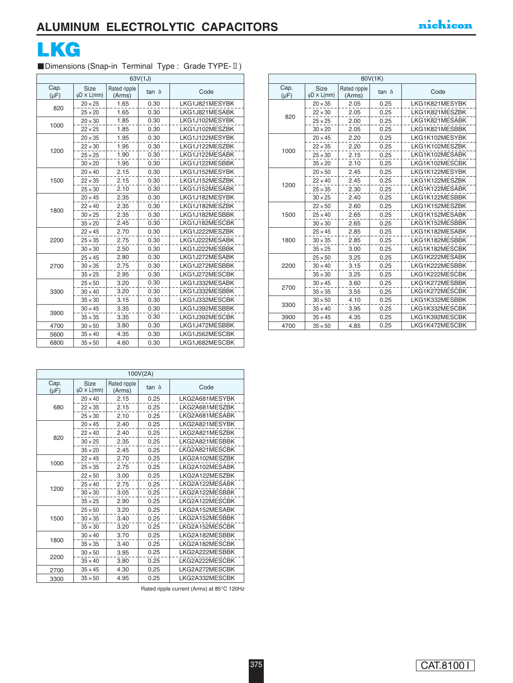

#### Dimensions (Snap-in Terminal Type : Grade TYPE-II)

| 63V(1J)           |                          |                        |              |                |  |
|-------------------|--------------------------|------------------------|--------------|----------------|--|
| Cap.<br>$(\mu F)$ | Size<br>$\phi$ D × L(mm) | Rated ripple<br>(Arms) | $tan \delta$ | Code           |  |
| 820               | $20 \times 25$           | 1.65                   | 0.30         | LKG1J821MESYBK |  |
|                   | $25 \times 20$           | 1.65                   | 0.30         | LKG1J821MESABK |  |
|                   | $20 \times 30$           | 1.85                   | 0.30         | LKG1J102MESYBK |  |
| 1000              | $22 \times 25$           | 1.85                   | 0.30         | LKG1J102MESZBK |  |
|                   | $20 \times 35$           | 1.95                   | 0.30         | LKG1J122MESYBK |  |
| 1200              | $22 \times 30$           | 1.95                   | 0.30         | LKG1J122MESZBK |  |
|                   | $25 \times 25$           | 1.90                   | 0.30         | LKG1J122MESABK |  |
|                   | $30 \times 20$           | 1.95                   | 0.30         | LKG1J122MESBBK |  |
|                   | $20 \times 40$           | 2.15                   | 0.30         | LKG1J152MESYBK |  |
| 1500              | $22 \times 35$           | 2.15                   | 0.30         | LKG1J152MESZBK |  |
|                   | $25 \times 30$           | 2.10                   | 0.30         | LKG1J152MESABK |  |
|                   | $20 \times 45$           | 2.35                   | 0.30         | LKG1J182MESYBK |  |
| 1800              | $22 \times 40$           | 2.35                   | 0.30         | LKG1J182MESZBK |  |
|                   | $30 \times 25$           | 2.35                   | 0.30         | LKG1J182MESBBK |  |
|                   | $35 \times 20$           | 2.45                   | 0.30         | LKG1J182MESCBK |  |
|                   | $22 \times 45$           | 2.70                   | 0.30         | LKG1J222MESZBK |  |
| 2200              | $25 \times 35$           | 2.75                   | 0.30         | LKG1J222MESABK |  |
|                   | $30 \times 30$           | 2.50                   | 0.30         | LKG1J222MESBBK |  |
|                   | $25 \times 45$           | 2.80                   | 0.30         | LKG1J272MESABK |  |
| 2700              | $30 \times 35$           | 2.75                   | 0.30         | LKG1J272MESBBK |  |
|                   | $35 \times 25$           | 2.95                   | 0.30         | LKG1J272MESCBK |  |
|                   | $25 \times 50$           | 3.20                   | 0.30         | LKG1J332MESABK |  |
| 3300              | $30 \times 40$           | 3.20                   | 0.30         | LKG1J332MESBBK |  |
|                   | $35 \times 30$           | 3.15                   | 0.30         | LKG1J332MESCBK |  |
| 3900              | $30 \times 45$           | 3.35                   | 0.30         | LKG1J392MESBBK |  |
|                   | $35 \times 35$           | 3.35                   | 0.30         | LKG1J392MESCBK |  |
| 4700              | $30 \times 50$           | 3.80                   | 0.30         | LKG1J472MESBBK |  |
| 5600              | $35 \times 40$           | 4.35                   | 0.30         | LKG1J562MESCBK |  |
| 6800              | $35 \times 50$           | 4.60                   | 0.30         | LKG1J682MESCBK |  |

| 80V(1K)           |                                 |                        |              |                |  |  |
|-------------------|---------------------------------|------------------------|--------------|----------------|--|--|
| Cap.<br>$(\mu F)$ | <b>Size</b><br>$\phi$ D × L(mm) | Rated ripple<br>(Arms) | $tan \delta$ | Code           |  |  |
|                   | $20 \times 35$                  | 2.05                   | 0.25         | LKG1K821MESYBK |  |  |
| 820               | $22 \times 30$                  | 2.05                   | 0.25         | LKG1K821MESZBK |  |  |
|                   | $25 \times 25$                  | 2.00                   | 0.25         | LKG1K821MESABK |  |  |
|                   | $30 \times 20$                  | 2.05                   | 0.25         | LKG1K821MESBBK |  |  |
|                   | $20 \times 45$                  | 2.20                   | 0.25         | LKG1K102MESYBK |  |  |
|                   | $22 \times 35$                  | 2.20                   | 0.25         | LKG1K102MESZBK |  |  |
| 1000              | $25 \times 30$                  | 2.15                   | 0.25         | LKG1K102MESABK |  |  |
|                   | $35 \times 20$                  | 2.10                   | 0.25         | LKG1K102MESCBK |  |  |
|                   | $20 \times 50$                  | 2.45                   | 0.25         | LKG1K122MESYBK |  |  |
|                   | $22 \times 40$                  | 2.45                   | 0.25         | LKG1K122MESZBK |  |  |
| 1200              | $25 \times 35$                  | 2.30                   | 0.25         | LKG1K122MESABK |  |  |
|                   | $30 \times 25$                  | 2.40                   | 0.25         | LKG1K122MESBBK |  |  |
|                   | $22 \times 50$                  | 2.60                   | 0.25         | LKG1K152MESZBK |  |  |
| 1500              | $25 \times 40$                  | 2.65                   | 0.25         | LKG1K152MESABK |  |  |
|                   | $30 \times 30$                  | 2.65                   | 0.25         | LKG1K152MESBBK |  |  |
|                   | $25 \times 45$                  | 2.85                   | 0.25         | LKG1K182MESABK |  |  |
| 1800              | $30 \times 35$                  | 2.85                   | 0.25         | LKG1K182MESBBK |  |  |
|                   | $35 \times 25$                  | 3.00                   | 0.25         | LKG1K182MESCBK |  |  |
|                   | $25 \times 50$                  | 3.25                   | 0.25         | LKG1K222MESABK |  |  |
| 2200              | $30 \times 40$                  | 3.15                   | 0.25         | LKG1K222MESBBK |  |  |
|                   | $35 \times 30$                  | 3.25                   | 0.25         | LKG1K222MESCBK |  |  |
|                   | $30 \times 45$                  | 3.60                   | 0.25         | LKG1K272MESBBK |  |  |
| 2700              | $35 \times 35$                  | 3.55                   | 0.25         | LKG1K272MESCBK |  |  |
|                   | $30 \times 50$                  | 4.10                   | 0.25         | LKG1K332MESBBK |  |  |
| 3300              | $35 \times 40$                  | 3.95                   | 0.25         | LKG1K332MESCBK |  |  |
| 3900              | $35 \times 45$                  | 4.35                   | 0.25         | LKG1K392MESCBK |  |  |
| 4700              | $35 \times 50$                  | 4.85                   | 0.25         | LKG1K472MESCBK |  |  |

| 100V(2A)          |                          |                        |              |                |  |  |
|-------------------|--------------------------|------------------------|--------------|----------------|--|--|
| Cap.<br>$(\mu F)$ | Size<br>$\phi$ D × L(mm) | Rated ripple<br>(Arms) | $tan \delta$ | Code           |  |  |
|                   | $20 \times 40$           | 2.15                   | 0.25         | LKG2A681MESYBK |  |  |
| 680               | $22 \times 35$           | 2.15                   | 0.25         | LKG2A681MESZBK |  |  |
|                   | $25 \times 30$           | 2.10                   | 0.25         | LKG2A681MESABK |  |  |
|                   | $20 \times 45$           | 2.40                   | 0.25         | LKG2A821MESYBK |  |  |
| 820               | $22 \times 40$           | 2.40                   | 0.25         | LKG2A821MESZBK |  |  |
|                   | $30 \times 25$           | 2.35                   | 0.25         | LKG2A821MESBBK |  |  |
|                   | $35 \times 20$           | 2.45                   | 0.25         | LKG2A821MESCBK |  |  |
| 1000              | $22 \times 45$           | 2.70                   | 0.25         | LKG2A102MESZBK |  |  |
|                   | $25 \times 35$           | 2.75                   | 0.25         | LKG2A102MESABK |  |  |
|                   | $22 \times 50$           | 3.00                   | 0.25         | LKG2A122MESZBK |  |  |
| 1200              | $25 \times 40$           | 2.75                   | 0.25         | LKG2A122MESABK |  |  |
|                   | $30 \times 30$           | 3.05                   | 0.25         | LKG2A122MESBBK |  |  |
|                   | $35 \times 25$           | 2.90                   | 0.25         | LKG2A122MESCBK |  |  |
|                   | $25 \times 50$           | 3.20                   | 0.25         | LKG2A152MESABK |  |  |
| 1500              | $30 \times 35$           | 3.40                   | 0.25         | LKG2A152MESBBK |  |  |
|                   | $35 \times 30$           | 3.20                   | 0.25         | LKG2A152MESCBK |  |  |
|                   | $30 \times 40$           | 3.70                   | 0.25         | LKG2A182MESBBK |  |  |
| 1800              | $35 \times 35$           | 3.40                   | 0.25         | LKG2A182MESCBK |  |  |
|                   | $30 \times 50$           | 3.95                   | 0.25         | LKG2A222MESBBK |  |  |
| 2200              | $35 \times 40$           | 3.80                   | 0.25         | LKG2A222MESCBK |  |  |
| 2700              | $35 \times 45$           | 4.30                   | 0.25         | LKG2A272MESCBK |  |  |
| 3300              | $35 \times 50$           | 4.95                   | 0.25         | LKG2A332MESCBK |  |  |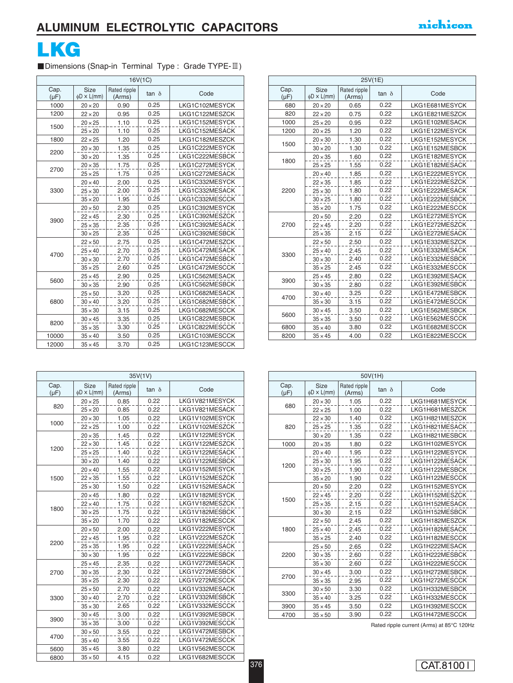

#### ■Dimensions (Snap-in Terminal Type : Grade TYPE-III)

| 16V(1C)           |                                 |                        |              |                |  |
|-------------------|---------------------------------|------------------------|--------------|----------------|--|
| Cap.<br>$(\mu F)$ | <b>Size</b><br>$\phi$ D × L(mm) | Rated ripple<br>(Arms) | $tan \delta$ | Code           |  |
| 1000              | $20 \times 20$                  | 0.90                   | 0.25         | LKG1C102MESYCK |  |
| 1200              | $22 \times 20$                  | 0.95                   | 0.25         | LKG1C122MESZCK |  |
|                   | $20 \times 25$                  | 1.10                   | 0.25         | LKG1C152MESYCK |  |
| 1500              | $25 \times 20$                  | 1.10                   | 0.25         | LKG1C152MESACK |  |
| 1800              | $22 \times 25$                  | 1.20                   | 0.25         | LKG1C182MESZCK |  |
| 2200              | $20 \times 30$                  | 1.35                   | 0.25         | LKG1C222MESYCK |  |
|                   | $30 \times 20$                  | 1.35                   | 0.25         | LKG1C222MESBCK |  |
| 2700              | $20 \times 35$                  | 1.75                   | 0.25         | LKG1C272MESYCK |  |
|                   | $25 \times 25$                  | 1.75                   | 0.25         | LKG1C272MESACK |  |
|                   | $20 \times 40$                  | 2.00                   | 0.25         | LKG1C332MESYCK |  |
| 3300              | $25 \times 30$                  | 2.00                   | 0.25         | LKG1C332MESACK |  |
|                   | $35 \times 20$                  | 1.95                   | 0.25         | LKG1C332MESCCK |  |
|                   | $20 \times 50$                  | 2.30                   | 0.25         | LKG1C392MESYCK |  |
| 3900              | $22 \times 45$                  | 2.30                   | 0.25         | LKG1C392MESZCK |  |
|                   | $25 \times 35$                  | 2.35                   | 0.25         | LKG1C392MESACK |  |
|                   | $30 \times 25$                  | 2.35                   | 0.25         | LKG1C392MESBCK |  |
|                   | $22 \times 50$                  | 2.75                   | 0.25         | LKG1C472MESZCK |  |
| 4700              | $25 \times 40$                  | 2.70                   | 0.25         | LKG1C472MESACK |  |
|                   | $30 \times 30$                  | 2.70                   | 0.25         | LKG1C472MESBCK |  |
|                   | $35 \times 25$                  | 2.60                   | 0.25         | LKG1C472MESCCK |  |
| 5600              | $25 \times 45$                  | 2.90                   | 0.25         | LKG1C562MESACK |  |
|                   | $30 \times 35$                  | 2.90                   | 0.25         | LKG1C562MESBCK |  |
|                   | $25 \times 50$                  | 3.20                   | 0.25         | LKG1C682MESACK |  |
| 6800              | $30 \times 40$                  | 3.20                   | 0.25         | LKG1C682MESBCK |  |
|                   | $35 \times 30$                  | 3.15                   | 0.25         | LKG1C682MESCCK |  |
| 8200              | $30 \times 45$                  | 3.35                   | 0.25         | LKG1C822MESBCK |  |
|                   | $35 \times 35$                  | 3.30                   | 0.25         | LKG1C822MESCCK |  |
| 10000             | $35 \times 40$                  | 3.50                   | 0.25         | LKG1C103MESCCK |  |
| 12000             | $35 \times 45$                  | 3.70                   | 0.25         | LKG1C123MESCCK |  |

| 25V(1E)           |                                 |                        |              |                |  |
|-------------------|---------------------------------|------------------------|--------------|----------------|--|
| Cap.<br>$(\mu F)$ | <b>Size</b><br>$\phi$ D × L(mm) | Rated ripple<br>(Arms) | $tan \delta$ | Code           |  |
| 680               | $20 \times 20$                  | 0.65                   | 0.22         | LKG1E681MESYCK |  |
| 820               | $22 \times 20$                  | 0.75                   | 0.22         | LKG1E821MESZCK |  |
| 1000              | $25 \times 20$                  | 0.95                   | 0.22         | LKG1E102MESACK |  |
| 1200              | $20 \times 25$                  | 1.20                   | 0.22         | LKG1E122MESYCK |  |
|                   | $20 \times 30$                  | 1.30                   | 0.22         | LKG1E152MESYCK |  |
| 1500              | $30 \times 20$                  | 1.30                   | 0.22         | LKG1E152MESBCK |  |
|                   | $20 \times 35$                  | 1.60                   | 0.22         | LKG1E182MESYCK |  |
| 1800              | $25 \times 25$                  | 1.55                   | 0.22         | LKG1E182MESACK |  |
|                   | $20 \times 40$                  | 1.85                   | 0.22         | LKG1E222MESYCK |  |
|                   | $22 \times 35$                  | 1.85                   | 0.22         | LKG1E222MESZCK |  |
| 2200              | $25 \times 30$                  | 1.80                   | 0.22         | LKG1E222MESACK |  |
|                   | $30 \times 25$                  | 1.80                   | 0.22         | LKG1E222MESBCK |  |
|                   | $35 \times 20$                  | 1.75                   | 0.22         | LKG1E222MESCCK |  |
|                   | $20 \times 50$                  | 2.20                   | 0.22         | LKG1E272MESYCK |  |
| 2700              | $22 \times 45$                  | 2.20                   | 0.22         | LKG1E272MESZCK |  |
|                   | $25 \times 35$                  | 2.15                   | 0.22         | LKG1E272MESACK |  |
|                   | $22 \times 50$                  | 2.50                   | 0.22         | LKG1E332MESZCK |  |
| 3300              | $25 \times 40$                  | 2.45                   | 0.22         | LKG1E332MESACK |  |
|                   | $30 \times 30$                  | 2.40                   | 0.22         | LKG1E332MESBCK |  |
|                   | $35 \times 25$                  | 2.45                   | 0.22         | LKG1E332MESCCK |  |
|                   | $25 \times 45$                  | 2.80                   | 0.22         | LKG1E392MESACK |  |
| 3900              | $30 \times 35$                  | 2.80                   | 0.22         | LKG1E392MESBCK |  |
|                   | $30 \times 40$                  | 3.25                   | 0.22         | LKG1E472MESBCK |  |
| 4700              | $35 \times 30$                  | 3.15                   | 0.22         | LKG1E472MESCCK |  |
|                   | $30 \times 45$                  | 3.50                   | 0.22         | LKG1E562MESBCK |  |
| 5600              | $35 \times 35$                  | 3.50                   | 0.22         | LKG1E562MESCCK |  |
| 6800              | $35 \times 40$                  | 3.80                   | 0.22         | LKG1E682MESCCK |  |
| 8200              | $35 \times 45$                  | 4.00                   | 0.22         | LKG1E822MESCCK |  |

| 35V(1V)           |                                 |                        |              |                |  |
|-------------------|---------------------------------|------------------------|--------------|----------------|--|
| Cap.<br>$(\mu F)$ | <b>Size</b><br>$\phi$ D × L(mm) | Rated ripple<br>(Arms) | tan $\delta$ | Code           |  |
|                   | $20 \times 25$                  | 0.85                   | 0.22         | LKG1V821MESYCK |  |
| 820               | $25 \times 20$                  | 0.85                   | 0.22         | LKG1V821MESACK |  |
|                   | $20 \times 30$                  | 1.05                   | 0.22         | LKG1V102MESYCK |  |
| 1000              | $22 \times 25$                  | 1.00                   | 0.22         | LKG1V102MESZCK |  |
|                   | $20 \times 35$                  | 1.45                   | 0.22         | LKG1V122MESYCK |  |
|                   | $22 \times 30$                  | 1.45                   | 0.22         | LKG1V122MESZCK |  |
| 1200              | $25 \times 25$                  | 1.40                   | 0.22         | LKG1V122MESACK |  |
|                   | $30 \times 20$                  | 1.40                   | 0.22         | LKG1V122MESBCK |  |
|                   | $20 \times 40$                  | 1.55                   | 0.22         | LKG1V152MESYCK |  |
| 1500              | $22 \times 35$                  | 1.55                   | 0.22         | LKG1V152MESZCK |  |
|                   | $25 \times 30$                  | 1.50                   | 0.22         | LKG1V152MESACK |  |
|                   | $20 \times 45$                  | 1.80                   | 0.22         | LKG1V182MESYCK |  |
|                   | $22 \times 40$                  | 1.75                   | 0.22         | LKG1V182MESZCK |  |
| 1800              | $30 \times 25$                  | 1.75                   | 0.22         | LKG1V182MESBCK |  |
|                   | $35 \times 20$                  | 1.70                   | 0.22         | LKG1V182MESCCK |  |
|                   | $20 \times 50$                  | 2.00                   | 0.22         | LKG1V222MESYCK |  |
|                   | $22 \times 45$                  | 1.95                   | 0.22         | LKG1V222MESZCK |  |
| 2200              | $25 \times 35$                  | 1.95                   | 0.22         | LKG1V222MESACK |  |
|                   | $30 \times 30$                  | 1.95                   | 0.22         | LKG1V222MESBCK |  |
|                   | $25 \times 45$                  | 2.35                   | 0.22         | LKG1V272MESACK |  |
| 2700              | $30 \times 35$                  | 2.30                   | 0.22         | LKG1V272MESBCK |  |
|                   | $35 \times 25$                  | 2.30                   | 0.22         | LKG1V272MESCCK |  |
|                   | $25 \times 50$                  | 2.70                   | 0.22         | LKG1V332MESACK |  |
| 3300              | $30 \times 40$                  | 2.70                   | 0.22         | LKG1V332MESBCK |  |
|                   | $35 \times 30$                  | 2.65                   | 0.22         | LKG1V332MESCCK |  |
|                   | $30 \times 45$                  | 3.00                   | 0.22         | LKG1V392MESBCK |  |
| 3900              | $35 \times 35$                  | 3.00                   | 0.22         | LKG1V392MESCCK |  |
|                   | $30 \times 50$                  | 3.55                   | 0.22         | LKG1V472MESBCK |  |
| 4700              | $35 \times 40$                  | 3.55                   | 0.22         | LKG1V472MESCCK |  |
| 5600              | $35 \times 45$                  | 3.80                   | 0.22         | LKG1V562MESCCK |  |
| 6800              | $35 \times 50$                  | 4.15                   | 0.22         | LKG1V682MESCCK |  |

| 50V(1H)           |                                 |                        |              |                |  |  |
|-------------------|---------------------------------|------------------------|--------------|----------------|--|--|
| Cap.<br>$(\mu F)$ | <b>Size</b><br>$\phi$ D × L(mm) | Rated ripple<br>(Arms) | $tan \delta$ | Code           |  |  |
|                   | $20 \times 30$                  | 1.05                   | 0.22         | LKG1H681MESYCK |  |  |
| 680               | $22 \times 25$                  | 1.00                   | 0.22         | LKG1H681MESZCK |  |  |
|                   | $22 \times 30$                  | 1.40                   | 0.22         | LKG1H821MESZCK |  |  |
| 820               | $25 \times 25$                  | 1.35                   | 0.22         | LKG1H821MESACK |  |  |
|                   | $30 \times 20$                  | 1.35                   | 0.22         | LKG1H821MESBCK |  |  |
| 1000              | $20 \times 35$                  | 1.80                   | 0.22         | LKG1H102MESYCK |  |  |
|                   | $20 \times 40$                  | 1.95                   | 0.22         | LKG1H122MESYCK |  |  |
|                   | $25 \times 30$                  | 1.95                   | 0.22         | LKG1H122MESACK |  |  |
| 1200              | $30 \times 25$                  | 1.90                   | 0.22         | LKG1H122MESBCK |  |  |
|                   | $35 \times 20$                  | 1.90                   | 0.22         | LKG1H122MESCCK |  |  |
|                   | $20 \times 50$                  | 2.20                   | 0.22         | LKG1H152MESYCK |  |  |
|                   | $22 \times 45$                  | 2.20                   | 0.22         | LKG1H152MESZCK |  |  |
| 1500              | $25 \times 35$                  | 2.15                   | 0.22         | LKG1H152MESACK |  |  |
|                   | $30 \times 30$                  | 2.15                   | 0.22         | LKG1H152MESBCK |  |  |
|                   | $22 \times 50$                  | 2.45                   | 0.22         | LKG1H182MESZCK |  |  |
| 1800              | $25 \times 40$                  | 2.45                   | 0.22         | LKG1H182MESACK |  |  |
|                   | $35 \times 25$                  | 2.40                   | 0.22         | LKG1H182MESCCK |  |  |
|                   | $25 \times 50$                  | 2.65                   | 0.22         | LKG1H222MESACK |  |  |
| 2200              | $30 \times 35$                  | 2.60                   | 0.22         | LKG1H222MESBCK |  |  |
|                   | $35 \times 30$                  | 2.60                   | 0.22         | LKG1H222MESCCK |  |  |
| 2700              | $30 \times 45$                  | 3.00                   | 0.22         | LKG1H272MESBCK |  |  |
|                   | $35 \times 35$                  | 2.95                   | 0.22         | LKG1H272MESCCK |  |  |
| 3300              | $30 \times 50$                  | 3.30                   | 0.22         | LKG1H332MESBCK |  |  |
|                   | $35 \times 40$                  | 3.25                   | 0.22         | LKG1H332MESCCK |  |  |
| 3900              | $35 \times 45$                  | 3.50                   | 0.22         | LKG1H392MESCCK |  |  |
| 4700              | $35 \times 50$                  | 3.90                   | 0.22         | LKG1H472MESCCK |  |  |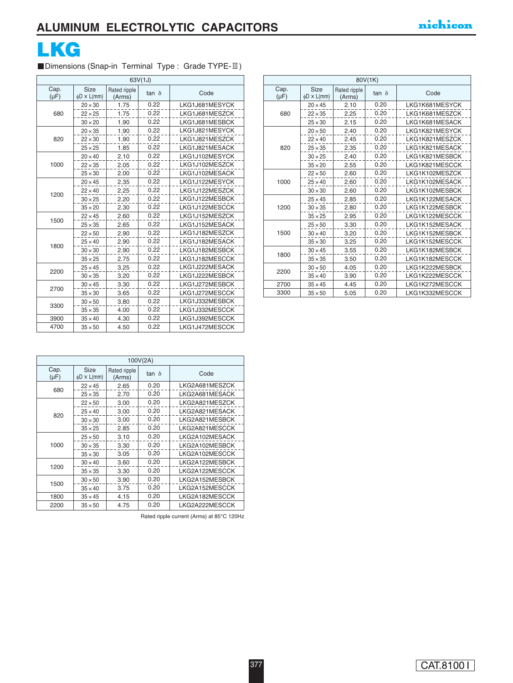

#### ■Dimensions (Snap-in Terminal Type : Grade TYPE-II)

| 63V(1J)           |                          |                        |              |                |  |
|-------------------|--------------------------|------------------------|--------------|----------------|--|
| Cap.<br>$(\mu F)$ | Size<br>$\phi$ D × L(mm) | Rated ripple<br>(Arms) | $tan \delta$ | Code           |  |
|                   | $20 \times 30$           | 1.75                   | 0.22         | LKG1J681MESYCK |  |
| 680               | $22 \times 25$           | 1.75                   | 0.22         | LKG1J681MESZCK |  |
|                   | $30 \times 20$           | 1.90                   | 0.22         | LKG1J681MESBCK |  |
|                   | $20 \times 35$           | 1.90                   | 0.22         | LKG1J821MESYCK |  |
| 820               | $22 \times 30$           | 1.90                   | 0.22         | LKG1J821MESZCK |  |
|                   | $25 \times 25$           | 1.85                   | 0.22         | LKG1J821MESACK |  |
|                   | $20 \times 40$           | 2.10                   | 0.22         | LKG1J102MESYCK |  |
| 1000              | $22 \times 35$           | 2.05                   | 0.22         | LKG1J102MESZCK |  |
|                   | $25 \times 30$           | 2.00                   | 0.22         | LKG1J102MESACK |  |
|                   | $20 \times 45$           | 2.35                   | 0.22         | LKG1J122MESYCK |  |
| 1200              | $22 \times 40$           | 2.25                   | 0.22         | LKG1J122MESZCK |  |
|                   | $30 \times 25$           | 2.20                   | 0.22         | LKG1J122MESBCK |  |
|                   | $35 \times 20$           | 2.30                   | 0.22         | LKG1J122MESCCK |  |
| 1500              | $22 \times 45$           | 2.60                   | 0.22         | LKG1J152MESZCK |  |
|                   | $25 \times 35$           | 2.65                   | 0.22         | LKG1J152MESACK |  |
|                   | $22 \times 50$           | 2.90                   | 0.22         | LKG1J182MESZCK |  |
| 1800              | $25 \times 40$           | 2.90                   | 0.22         | LKG1J182MESACK |  |
|                   | $30 \times 30$           | 2.90                   | 0.22         | LKG1J182MESBCK |  |
|                   | $35 \times 25$           | 2.75                   | 0.22         | LKG1J182MESCCK |  |
| 2200              | $25 \times 45$           | 3.25                   | 0.22         | LKG1J222MESACK |  |
|                   | $30 \times 35$           | 3.20                   | 0.22         | LKG1J222MESBCK |  |
| 2700              | $30 \times 45$           | 3.30                   | 0.22         | LKG1J272MESBCK |  |
|                   | $35 \times 30$           | 3.65                   | 0.22         | LKG1J272MESCCK |  |
| 3300              | $30 \times 50$           | 3.80                   | 0.22         | LKG1J332MESBCK |  |
|                   | $35 \times 35$           | 4.00                   | 0.22         | LKG1J332MESCCK |  |
| 3900              | $35 \times 40$           | 4.30                   | 0.22         | LKG1J392MESCCK |  |
| 4700              | $35 \times 50$           | 4.50                   | 0.22         | LKG1J472MESCCK |  |

| 80V(1K)           |                          |                        |              |                |  |  |
|-------------------|--------------------------|------------------------|--------------|----------------|--|--|
| Cap.<br>$(\mu F)$ | Size<br>$\phi$ D × L(mm) | Rated ripple<br>(Arms) | tan $\delta$ | Code           |  |  |
|                   | $20 \times 45$           | 2.10                   | 0.20         | LKG1K681MESYCK |  |  |
| 680               | $22 \times 35$           | 2.25                   | 0.20         | LKG1K681MESZCK |  |  |
|                   | $25 \times 30$           | 2.15                   | 0.20         | LKG1K681MESACK |  |  |
|                   | $20 \times 50$           | 2.40                   | 0.20         | LKG1K821MESYCK |  |  |
|                   | $22 \times 40$           | 2.45                   | 0.20         | LKG1K821MESZCK |  |  |
| 820               | $25 \times 35$           | 2.35                   | 0.20         | LKG1K821MESACK |  |  |
|                   | $30 \times 25$           | 2.40                   | 0.20         | LKG1K821MESBCK |  |  |
|                   | $35 \times 20$           | 2.55                   | 0.20         | LKG1K821MESCCK |  |  |
|                   | $22 \times 50$           | 2.60                   | 0.20         | LKG1K102MESZCK |  |  |
| 1000              | $25 \times 40$           | 2.60                   | 0.20         | LKG1K102MESACK |  |  |
|                   | $30 \times 30$           | 2.60                   | 0.20         | LKG1K102MESBCK |  |  |
|                   | $25 \times 45$           | 2.85                   | 0.20         | LKG1K122MESACK |  |  |
| 1200              | $30 \times 35$           | 2.80                   | 0.20         | LKG1K122MESBCK |  |  |
|                   | $35 \times 25$           | 2.95                   | 0.20         | LKG1K122MESCCK |  |  |
|                   | $25 \times 50$           | 3.30                   | 0.20         | LKG1K152MESACK |  |  |
| 1500              | $30 \times 40$           | 3.20                   | 0.20         | LKG1K152MESBCK |  |  |
|                   | $35 \times 30$           | 3.25                   | 0.20         | LKG1K152MESCCK |  |  |
| 1800              | $30 \times 45$           | 3.55                   | 0.20         | LKG1K182MESBCK |  |  |
|                   | $35 \times 35$           | 3.50                   | 0.20         | LKG1K182MESCCK |  |  |
| 2200              | $30 \times 50$           | 4.05                   | 0.20         | LKG1K222MESBCK |  |  |
|                   | $35 \times 40$           | 3.90                   | 0.20         | LKG1K222MESCCK |  |  |
| 2700              | $35 \times 45$           | 4.45                   | 0.20         | LKG1K272MESCCK |  |  |
| 3300              | $35 \times 50$           | 5.05                   | 0.20         | LKG1K332MESCCK |  |  |

| 100V(2A)          |                                 |                        |              |                |  |  |
|-------------------|---------------------------------|------------------------|--------------|----------------|--|--|
| Cap.<br>$(\mu F)$ | <b>Size</b><br>$\phi$ D × L(mm) | Rated ripple<br>(Arms) | tan $\delta$ | Code           |  |  |
| 680               | $22 \times 45$                  | 2.65                   | 0.20         | LKG2A681MESZCK |  |  |
|                   | $25 \times 35$                  | 2.70                   | 0.20         | LKG2A681MESACK |  |  |
|                   | $22 \times 50$                  | 3.00                   | 0.20         | LKG2A821MESZCK |  |  |
| 820               | $25 \times 40$                  | 3.00                   | 0.20         | LKG2A821MESACK |  |  |
|                   | $30 \times 30$                  | 3.00                   | 0.20         | LKG2A821MESBCK |  |  |
|                   | $35 \times 25$                  | 2.85                   | 0.20         | LKG2A821MESCCK |  |  |
|                   | $25 \times 50$                  | 3.10                   | 0.20         | LKG2A102MESACK |  |  |
| 1000              | $30 \times 35$                  | 3.30                   | 0.20         | LKG2A102MESBCK |  |  |
|                   | $35 \times 30$                  | 3.05                   | 0.20         | LKG2A102MESCCK |  |  |
| 1200              | $30 \times 40$                  | 3.60                   | 0.20         | LKG2A122MESBCK |  |  |
|                   | $35 \times 35$                  | 3.30                   | 0.20         | LKG2A122MESCCK |  |  |
|                   | $30 \times 50$                  | 3.90                   | 0.20         | LKG2A152MESBCK |  |  |
| 1500              | $35 \times 40$                  | 3.75                   | 0.20         | LKG2A152MESCCK |  |  |
| 1800              | $35 \times 45$                  | 4.15                   | 0.20         | LKG2A182MESCCK |  |  |
| 2200              | $35 \times 50$                  | 4.75                   | 0.20         | LKG2A222MESCCK |  |  |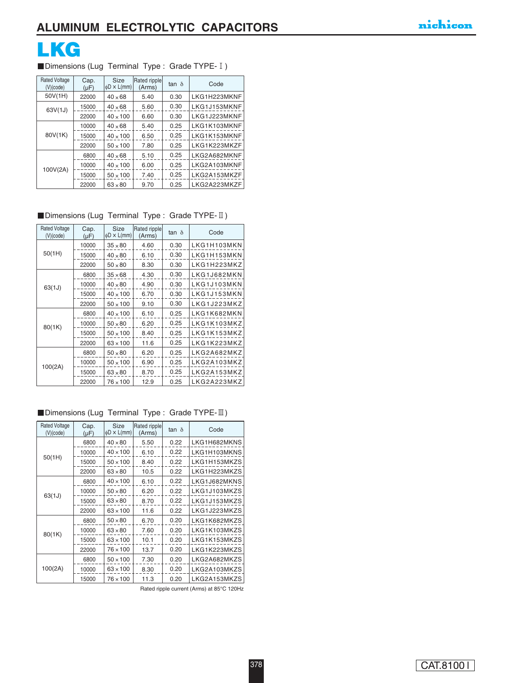

Dimensions (Lug Terminal Type : Grade TYPE- I )

| <b>Rated Voltage</b><br>(V)(code) | Cap.<br>$(\mu F)$ | <b>Size</b><br>$\phi$ D × L(mm) | Rated ripple<br>(Arms) | $tan \delta$ | Code         |
|-----------------------------------|-------------------|---------------------------------|------------------------|--------------|--------------|
| 50V(1H)                           | 22000             | $40 \times 68$                  | 5.40                   | 0.30         | LKG1H223MKNF |
| 63V(1J)                           | 15000             | $40 \times 68$                  | 5.60                   | 0.30         | LKG1J153MKNF |
|                                   | 22000             | $40 \times 100$                 | 6.60                   | 0.30         | LKG1J223MKNF |
|                                   | 10000             | $40 \times 68$                  | 5.40                   | 0.25         | LKG1K103MKNF |
| 80V(1K)                           | 15000             | $40 \times 100$                 | 6.50                   | 0.25         | LKG1K153MKNF |
|                                   | 22000             | $50 \times 100$                 | 7.80                   | 0.25         | LKG1K223MKZF |
|                                   | 6800              | $40 \times 68$                  | 5.10                   | 0.25         | LKG2A682MKNF |
| 100V(2A)                          | 10000             | $40 \times 100$                 | 6.00                   | 0.25         | LKG2A103MKNF |
|                                   | 15000             | $50 \times 100$                 | 7.40                   | 0.25         | LKG2A153MKZF |
|                                   | 22000             | $63 \times 80$                  | 9.70                   | 0.25         | LKG2A223MKZF |

### Dimensions (Lug Terminal Type : Grade TYPE-II)

| <b>Rated Voltage</b><br>(V)(code) | Cap.<br>$(\mu F)$ | <b>Size</b><br>$\phi$ D × L(mm) | Rated ripple<br>(Arms) | $tan \delta$ | Code        |
|-----------------------------------|-------------------|---------------------------------|------------------------|--------------|-------------|
|                                   | 10000             | $35 \times 80$                  | 4.60                   | 0.30         | LKG1H103MKN |
| 50(1H)                            | 15000             | $40 \times 80$                  | 6.10                   | 0.30         | LKG1H153MKN |
|                                   | 22000             | $50 \times 80$                  | 8.30                   | 0.30         | LKG1H223MKZ |
|                                   | 6800              | $35 \times 68$                  | 4.30                   | 0.30         | LKG1J682MKN |
| 63(1J)                            | 10000             | $40 \times 80$                  | 4.90                   | 0.30         | LKG1J103MKN |
|                                   | 15000             | $40 \times 100$                 | 6.70                   | 0.30         | LKG1J153MKN |
|                                   | 22000             | $50 \times 100$                 | 9.10                   | 0.30         | LKG1J223MKZ |
|                                   | 6800              | $40 \times 100$                 | 6.10                   | 0.25         | LKG1K682MKN |
| 80(1K)                            | 10000             | $50 \times 80$                  | 6.20                   | 0.25         | LKG1K103MKZ |
|                                   | 15000             | $50 \times 100$                 | 8.40                   | 0.25         | LKG1K153MKZ |
|                                   | 22000             | $63 \times 100$                 | 11.6                   | 0.25         | LKG1K223MKZ |
|                                   | 6800              | $50 \times 80$                  | 6.20                   | 0.25         | LKG2A682MKZ |
| 100(2A)                           | 10000             | $50 \times 100$                 | 6.90                   | 0.25         | LKG2A103MKZ |
|                                   | 15000             | $63 \times 80$                  | 8.70                   | 0.25         | LKG2A153MKZ |
|                                   | 22000             | $76 \times 100$                 | 12.9                   | 0.25         | LKG2A223MKZ |

#### ■ Dimensions (Lug Terminal Type : Grade TYPE-III)

| <b>Rated Voltage</b><br>(V)(code) | Cap.<br>$(\mu F)$ | <b>Size</b><br>$\phi$ D × L(mm) | Rated ripple<br>(Arms) | $tan \delta$ | Code         |
|-----------------------------------|-------------------|---------------------------------|------------------------|--------------|--------------|
|                                   | 6800              | $40 \times 80$                  | 5.50                   | 0.22         | LKG1H682MKNS |
|                                   | 10000             | $40 \times 100$                 | 6.10                   | 0.22         | LKG1H103MKNS |
| 50(1H)                            | 15000             | $50 \times 100$                 | 8.40                   | 0.22         | LKG1H153MKZS |
|                                   | 22000             | $63 \times 80$                  | 10.5                   | 0.22         | LKG1H223MKZS |
|                                   | 6800              | $40 \times 100$                 | 6.10                   | 0.22         | LKG1J682MKNS |
| 63(1J)                            | 10000             | $50 \times 80$                  | 6.20                   | 0.22         | LKG1J103MKZS |
|                                   | 15000             | $63 \times 80$                  | 8.70                   | 0.22         | LKG1J153MKZS |
|                                   | 22000             | $63 \times 100$                 | 11.6                   | 0.22         | LKG1J223MKZS |
|                                   | 6800              | $50 \times 80$                  | 6.70                   | 0.20         | LKG1K682MKZS |
| 80(1K)                            | 10000             | $63 \times 80$                  | 7.60                   | 0.20         | LKG1K103MKZS |
|                                   | 15000             | $63 \times 100$                 | 10.1                   | 0.20         | LKG1K153MKZS |
|                                   | 22000             | $76 \times 100$                 | 13.7                   | 0.20         | LKG1K223MKZS |
|                                   | 6800              | $50 \times 100$                 | 7.30                   | 0.20         | LKG2A682MKZS |
| 100(2A)                           | 10000             | $63 \times 100$                 | 8.30                   | 0.20         | LKG2A103MKZS |
|                                   | 15000             | $76 \times 100$                 | 11.3                   | 0.20         | LKG2A153MKZS |